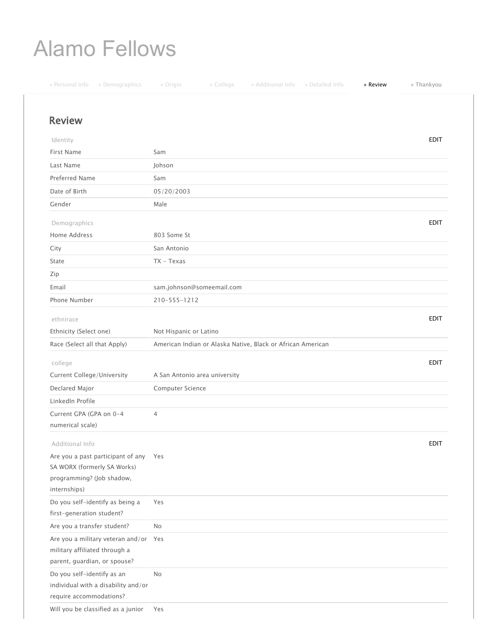## Alamo Fellows

| » Personal Info<br>» Demographics                                | » Origin<br>» College                                       | » Additional Info » Detailed Info | » Review | » Thankyou  |
|------------------------------------------------------------------|-------------------------------------------------------------|-----------------------------------|----------|-------------|
| <b>Review</b>                                                    |                                                             |                                   |          |             |
|                                                                  |                                                             |                                   |          |             |
| Identity                                                         |                                                             |                                   |          | <b>EDIT</b> |
| First Name                                                       | Sam                                                         |                                   |          |             |
| Last Name                                                        | Johson                                                      |                                   |          |             |
| <b>Preferred Name</b>                                            | Sam                                                         |                                   |          |             |
| Date of Birth                                                    | 05/20/2003                                                  |                                   |          |             |
| Gender                                                           | Male                                                        |                                   |          |             |
| Demographics                                                     |                                                             |                                   |          | <b>EDIT</b> |
| Home Address                                                     | 803 Some St                                                 |                                   |          |             |
| City                                                             | San Antonio                                                 |                                   |          |             |
| State                                                            | $TX - Texas$                                                |                                   |          |             |
| Zip                                                              |                                                             |                                   |          |             |
| Email                                                            | sam.johnson@someemail.com                                   |                                   |          |             |
| Phone Number                                                     | 210-555-1212                                                |                                   |          |             |
|                                                                  |                                                             |                                   |          |             |
| ethnirace                                                        |                                                             |                                   |          | <b>EDIT</b> |
| Ethnicity (Select one)                                           | Not Hispanic or Latino                                      |                                   |          |             |
| Race (Select all that Apply)                                     | American Indian or Alaska Native, Black or African American |                                   |          |             |
| college                                                          |                                                             |                                   |          | <b>EDIT</b> |
| <b>Current College/University</b>                                | A San Antonio area university                               |                                   |          |             |
| Declared Major                                                   | Computer Science                                            |                                   |          |             |
| LinkedIn Profile                                                 |                                                             |                                   |          |             |
| Current GPA (GPA on 0-4                                          | 4                                                           |                                   |          |             |
| numerical scale)                                                 |                                                             |                                   |          |             |
|                                                                  |                                                             |                                   |          |             |
| Additional Info                                                  |                                                             |                                   |          | EDIT        |
| Are you a past participant of any<br>SA WORX (formerly SA Works) | Yes                                                         |                                   |          |             |
| programming? (Job shadow,                                        |                                                             |                                   |          |             |
| internships)                                                     |                                                             |                                   |          |             |
| Do you self-identify as being a                                  | Yes                                                         |                                   |          |             |
| first-generation student?                                        |                                                             |                                   |          |             |
| Are you a transfer student?                                      | No                                                          |                                   |          |             |
| Are you a military veteran and/or Yes                            |                                                             |                                   |          |             |
| military affiliated through a                                    |                                                             |                                   |          |             |
| parent, guardian, or spouse?                                     |                                                             |                                   |          |             |
| Do you self-identify as an                                       | <b>No</b>                                                   |                                   |          |             |
| individual with a disability and/or                              |                                                             |                                   |          |             |
| require accommodations?                                          |                                                             |                                   |          |             |
| Will you be classified as a junior                               | Yes                                                         |                                   |          |             |